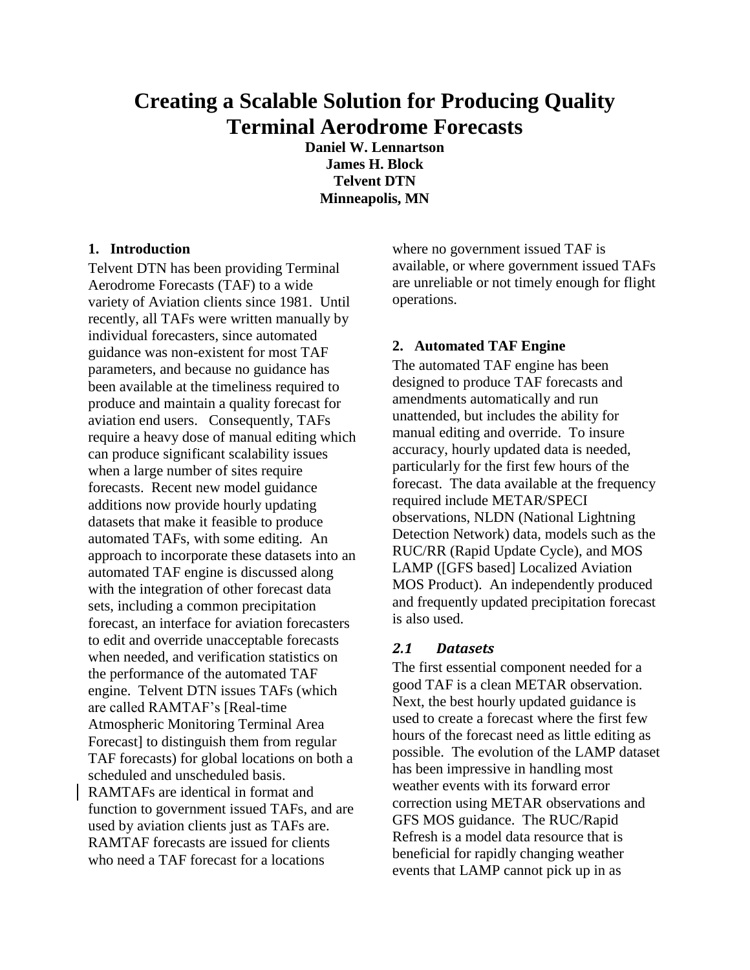# **Creating a Scalable Solution for Producing Quality Terminal Aerodrome Forecasts**

**Daniel W. Lennartson James H. Block Telvent DTN Minneapolis, MN**

## **1. Introduction**

Telvent DTN has been providing Terminal Aerodrome Forecasts (TAF) to a wide variety of Aviation clients since 1981. Until recently, all TAFs were written manually by individual forecasters, since automated guidance was non-existent for most TAF parameters, and because no guidance has been available at the timeliness required to produce and maintain a quality forecast for aviation end users. Consequently, TAFs require a heavy dose of manual editing which can produce significant scalability issues when a large number of sites require forecasts. Recent new model guidance additions now provide hourly updating datasets that make it feasible to produce automated TAFs, with some editing. An approach to incorporate these datasets into an automated TAF engine is discussed along with the integration of other forecast data sets, including a common precipitation forecast, an interface for aviation forecasters to edit and override unacceptable forecasts when needed, and verification statistics on the performance of the automated TAF engine. Telvent DTN issues TAFs (which are called RAMTAF's [Real-time Atmospheric Monitoring Terminal Area Forecast] to distinguish them from regular TAF forecasts) for global locations on both a scheduled and unscheduled basis. RAMTAFs are identical in format and function to government issued TAFs, and are used by aviation clients just as TAFs are. RAMTAF forecasts are issued for clients who need a TAF forecast for a locations

where no government issued TAF is available, or where government issued TAFs are unreliable or not timely enough for flight operations.

## **2. Automated TAF Engine**

The automated TAF engine has been designed to produce TAF forecasts and amendments automatically and run unattended, but includes the ability for manual editing and override. To insure accuracy, hourly updated data is needed, particularly for the first few hours of the forecast. The data available at the frequency required include METAR/SPECI observations, NLDN (National Lightning Detection Network) data, models such as the RUC/RR (Rapid Update Cycle), and MOS LAMP ([GFS based] Localized Aviation MOS Product). An independently produced and frequently updated precipitation forecast is also used.

## *2.1 Datasets*

The first essential component needed for a good TAF is a clean METAR observation. Next, the best hourly updated guidance is used to create a forecast where the first few hours of the forecast need as little editing as possible. The evolution of the LAMP dataset has been impressive in handling most weather events with its forward error correction using METAR observations and GFS MOS guidance. The RUC/Rapid Refresh is a model data resource that is beneficial for rapidly changing weather events that LAMP cannot pick up in as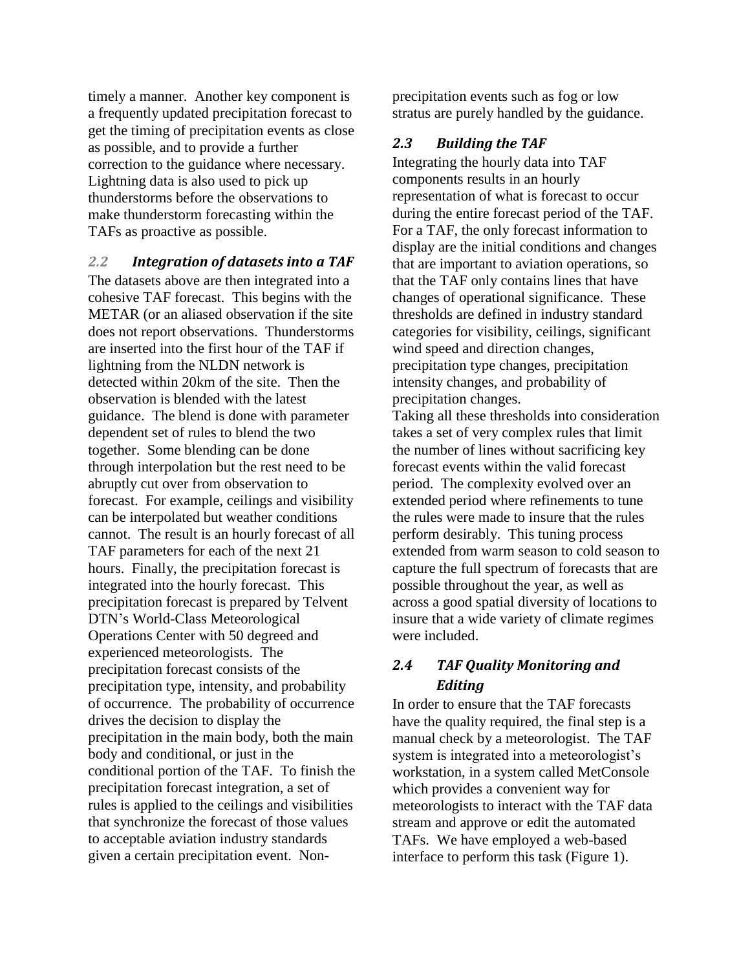timely a manner. Another key component is a frequently updated precipitation forecast to get the timing of precipitation events as close as possible, and to provide a further correction to the guidance where necessary. Lightning data is also used to pick up thunderstorms before the observations to make thunderstorm forecasting within the TAFs as proactive as possible.

#### *2.2 Integration of datasets into a TAF*

The datasets above are then integrated into a cohesive TAF forecast. This begins with the METAR (or an aliased observation if the site does not report observations. Thunderstorms are inserted into the first hour of the TAF if lightning from the NLDN network is detected within 20km of the site. Then the observation is blended with the latest guidance. The blend is done with parameter dependent set of rules to blend the two together. Some blending can be done through interpolation but the rest need to be abruptly cut over from observation to forecast. For example, ceilings and visibility can be interpolated but weather conditions cannot. The result is an hourly forecast of all TAF parameters for each of the next 21 hours. Finally, the precipitation forecast is integrated into the hourly forecast. This precipitation forecast is prepared by Telvent DTN's World-Class Meteorological Operations Center with 50 degreed and experienced meteorologists. The precipitation forecast consists of the precipitation type, intensity, and probability of occurrence. The probability of occurrence drives the decision to display the precipitation in the main body, both the main body and conditional, or just in the conditional portion of the TAF. To finish the precipitation forecast integration, a set of rules is applied to the ceilings and visibilities that synchronize the forecast of those values to acceptable aviation industry standards given a certain precipitation event. Nonprecipitation events such as fog or low stratus are purely handled by the guidance.

#### *2.3 Building the TAF*

Integrating the hourly data into TAF components results in an hourly representation of what is forecast to occur during the entire forecast period of the TAF. For a TAF, the only forecast information to display are the initial conditions and changes that are important to aviation operations, so that the TAF only contains lines that have changes of operational significance. These thresholds are defined in industry standard categories for visibility, ceilings, significant wind speed and direction changes, precipitation type changes, precipitation intensity changes, and probability of precipitation changes.

Taking all these thresholds into consideration takes a set of very complex rules that limit the number of lines without sacrificing key forecast events within the valid forecast period. The complexity evolved over an extended period where refinements to tune the rules were made to insure that the rules perform desirably. This tuning process extended from warm season to cold season to capture the full spectrum of forecasts that are possible throughout the year, as well as across a good spatial diversity of locations to insure that a wide variety of climate regimes were included.

# *2.4 TAF Quality Monitoring and Editing*

In order to ensure that the TAF forecasts have the quality required, the final step is a manual check by a meteorologist. The TAF system is integrated into a meteorologist's workstation, in a system called MetConsole which provides a convenient way for meteorologists to interact with the TAF data stream and approve or edit the automated TAFs. We have employed a web-based interface to perform this task (Figure 1).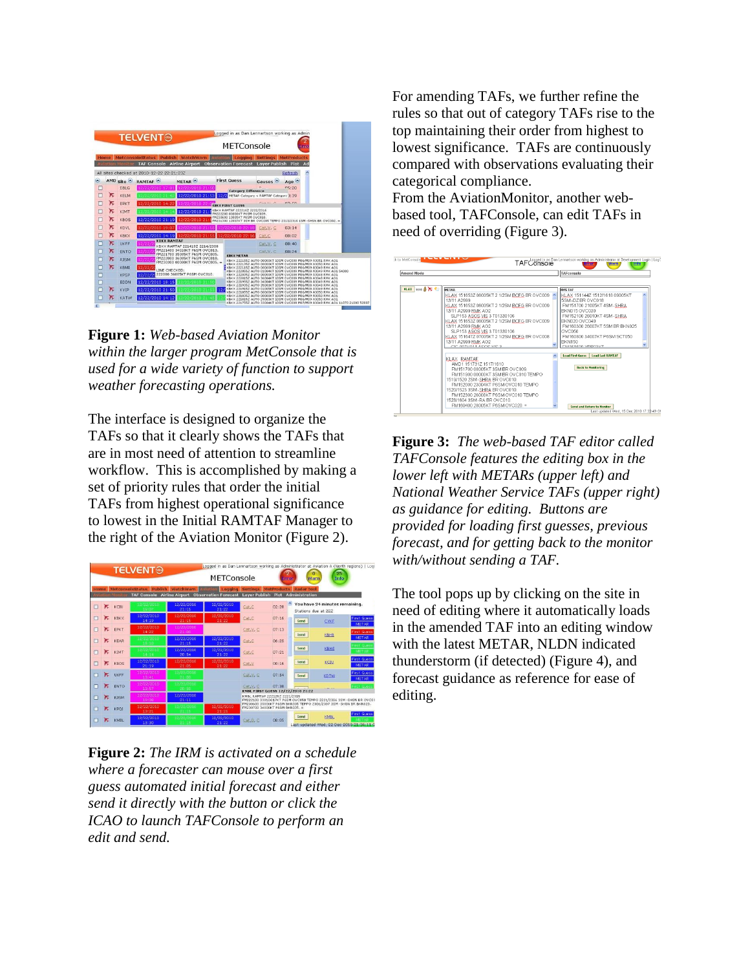

**Figure 1:** *Web-based Aviation Monitor within the larger program MetConsole that is used for a wide variety of function to support weather forecasting operations.*

The interface is designed to organize the TAFs so that it clearly shows the TAFs that are in most need of attention to streamline workflow. This is accomplished by making a set of priority rules that order the initial TAFs from highest operational significance to lowest in the Initial RAMTAF Manager to the right of the Aviation Monitor (Figure 2).



**Figure 2:** *The IRM is activated on a schedule where a forecaster can mouse over a first guess automated initial forecast and either send it directly with the button or click the ICAO to launch TAFConsole to perform an edit and send.*

For amending TAFs, we further refine the rules so that out of category TAFs rise to the top maintaining their order from highest to lowest significance. TAFs are continuously compared with observations evaluating their categorical compliance.

From the AviationMonitor, another webbased tool, TAFConsole, can edit TAFs in need of overriding (Figure 3).



**Figure 3:** *The web-based TAF editor called TAFConsole features the editing box in the lower left with METARs (upper left) and National Weather Service TAFs (upper right) as guidance for editing. Buttons are provided for loading first guesses, previous forecast, and for getting back to the monitor with/without sending a TAF.*

The tool pops up by clicking on the site in need of editing where it automatically loads in the amended TAF into an editing window with the latest METAR, NLDN indicated thunderstorm (if detected) (Figure 4), and forecast guidance as reference for ease of editing.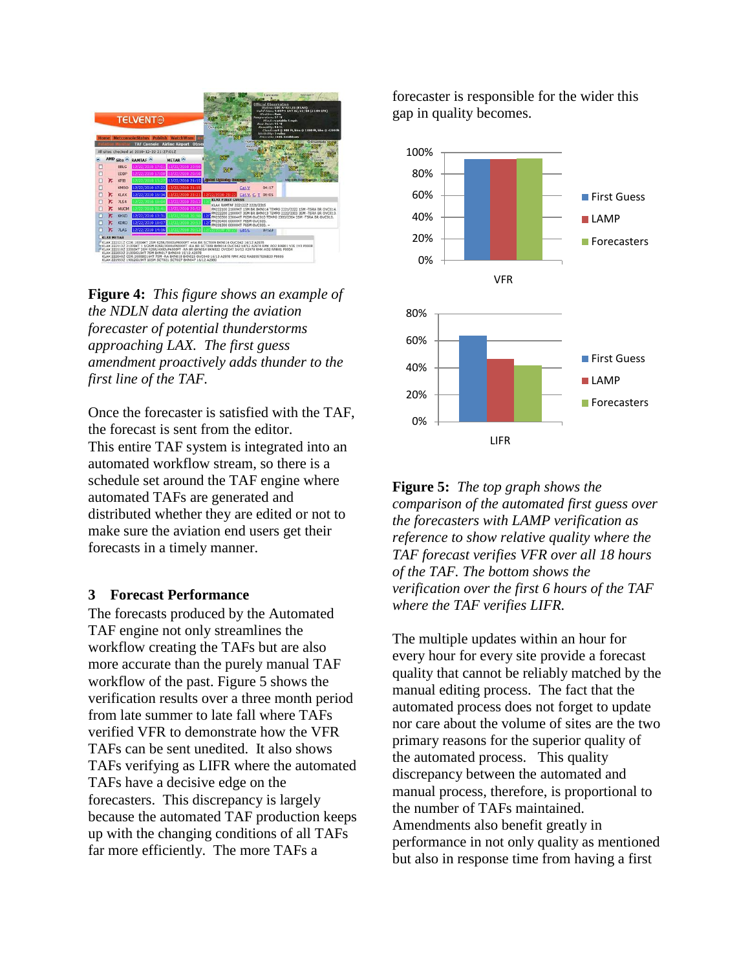

**Figure 4:** *This figure shows an example of the NDLN data alerting the aviation forecaster of potential thunderstorms approaching LAX. The first guess amendment proactively adds thunder to the first line of the TAF.*

Once the forecaster is satisfied with the TAF, the forecast is sent from the editor. This entire TAF system is integrated into an automated workflow stream, so there is a schedule set around the TAF engine where automated TAFs are generated and distributed whether they are edited or not to make sure the aviation end users get their forecasts in a timely manner.

## **3 Forecast Performance**

The forecasts produced by the Automated TAF engine not only streamlines the workflow creating the TAFs but are also more accurate than the purely manual TAF workflow of the past. Figure 5 shows the verification results over a three month period from late summer to late fall where TAFs verified VFR to demonstrate how the VFR TAFs can be sent unedited. It also shows TAFs verifying as LIFR where the automated TAFs have a decisive edge on the forecasters. This discrepancy is largely because the automated TAF production keeps up with the changing conditions of all TAFs far more efficiently. The more TAFs a

forecaster is responsible for the wider this gap in quality becomes.



**Figure 5:** *The top graph shows the comparison of the automated first guess over the forecasters with LAMP verification as reference to show relative quality where the TAF forecast verifies VFR over all 18 hours of the TAF. The bottom shows the verification over the first 6 hours of the TAF where the TAF verifies LIFR.*

The multiple updates within an hour for every hour for every site provide a forecast quality that cannot be reliably matched by the manual editing process. The fact that the automated process does not forget to update nor care about the volume of sites are the two primary reasons for the superior quality of the automated process. This quality discrepancy between the automated and manual process, therefore, is proportional to the number of TAFs maintained. Amendments also benefit greatly in performance in not only quality as mentioned but also in response time from having a first